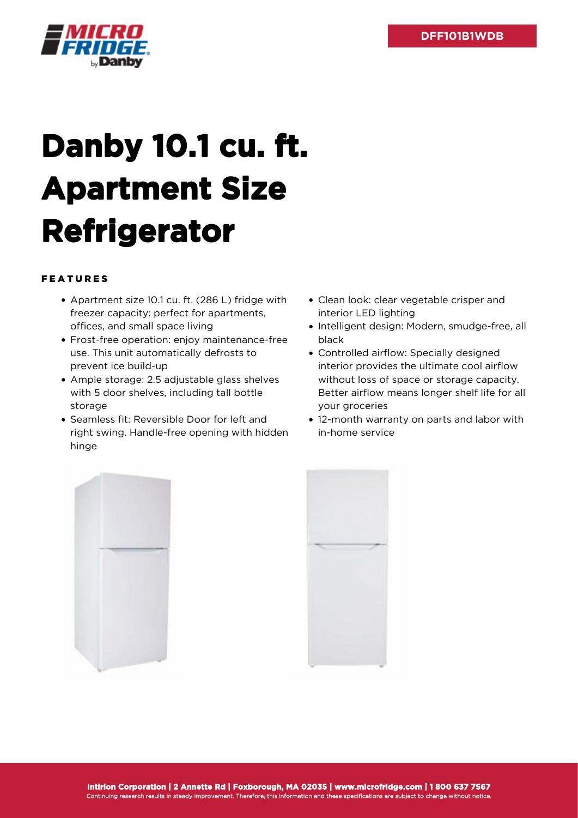

## **Danby 10.1 cu. ft. Apartment Size Refrigerator**

## FEATURES

- Apartment size 10.1 cu. ft. (286 L) fridge with freezer capacity: perfect for apartments, offices, and small space living
- Frost-free operation: enjoy maintenance-free use. This unit automatically defrosts to prevent ice build-up
- Ample storage: 2.5 adjustable glass shelves with 5 door shelves, including tall bottle storage
- Seamless fit: Reversible Door for left and right swing. Handle-free opening with hidden hinge
- Clean look: clear vegetable crisper and interior LED lighting
- Intelligent design: Modern, smudge-free, all black
- Controlled airflow: Specially designed interior provides the ultimate cool airflow without loss of space or storage capacity. Better airflow means longer shelf life for all your groceries
- 12-month warranty on parts and labor with in-home service